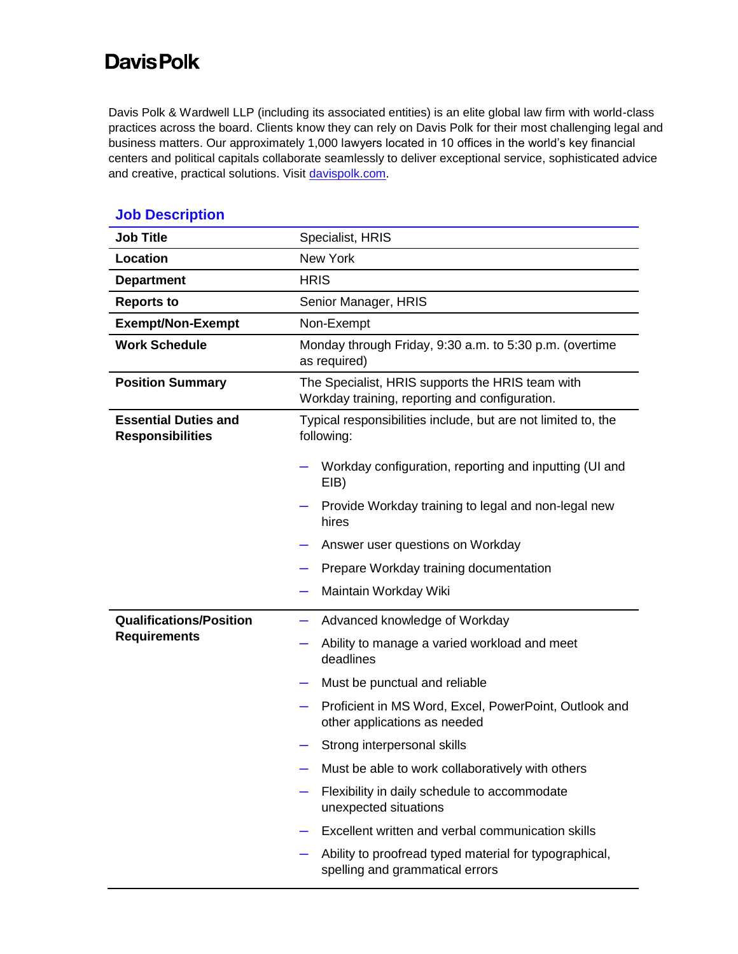## **Davis Polk**

Davis Polk & Wardwell LLP (including its associated entities) is an elite global law firm with world-class practices across the board. Clients know they can rely on Davis Polk for their most challenging legal and business matters. Our approximately 1,000 lawyers located in 10 offices in the world's key financial centers and political capitals collaborate seamlessly to deliver exceptional service, sophisticated advice and creative, practical solutions. Visit [davispolk.com.](https://www.davispolk.com/)

| <b>Job Title</b>                                       | Specialist, HRIS                                                                                   |
|--------------------------------------------------------|----------------------------------------------------------------------------------------------------|
| Location                                               | <b>New York</b>                                                                                    |
| <b>Department</b>                                      | <b>HRIS</b>                                                                                        |
| <b>Reports to</b>                                      | Senior Manager, HRIS                                                                               |
| <b>Exempt/Non-Exempt</b>                               | Non-Exempt                                                                                         |
| <b>Work Schedule</b>                                   | Monday through Friday, 9:30 a.m. to 5:30 p.m. (overtime<br>as required)                            |
| <b>Position Summary</b>                                | The Specialist, HRIS supports the HRIS team with<br>Workday training, reporting and configuration. |
| <b>Essential Duties and</b><br><b>Responsibilities</b> | Typical responsibilities include, but are not limited to, the<br>following:                        |
|                                                        | Workday configuration, reporting and inputting (UI and<br>EIB)                                     |
|                                                        | Provide Workday training to legal and non-legal new<br>hires                                       |
|                                                        | Answer user questions on Workday                                                                   |
|                                                        | Prepare Workday training documentation                                                             |
|                                                        | Maintain Workday Wiki                                                                              |
| <b>Qualifications/Position</b>                         | Advanced knowledge of Workday                                                                      |
| <b>Requirements</b>                                    | Ability to manage a varied workload and meet<br>deadlines                                          |
|                                                        | Must be punctual and reliable                                                                      |
|                                                        | Proficient in MS Word, Excel, PowerPoint, Outlook and<br>other applications as needed              |
|                                                        | Strong interpersonal skills                                                                        |
|                                                        | Must be able to work collaboratively with others                                                   |
|                                                        | Flexibility in daily schedule to accommodate<br>unexpected situations                              |
|                                                        | Excellent written and verbal communication skills                                                  |
|                                                        | Ability to proofread typed material for typographical,<br>spelling and grammatical errors          |

## **Job Description**